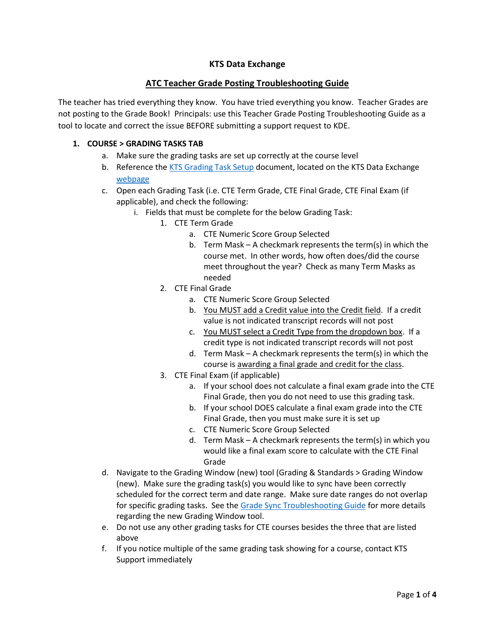# **KTS Data Exchange**

## **ATC Teacher Grade Posting Troubleshooting Guide**

The teacher has tried everything they know. You have tried everything you know. Teacher Grades are not posting to the Grade Book! Principals: use this Teacher Grade Posting Troubleshooting Guide as a tool to locate and correct the issue BEFORE submitting a support request to KDE.

#### **1. COURSE > GRADING TASKS TAB**

- a. Make sure the grading tasks are set up correctly at the course level
- b. Reference the [KTS Grading Task Setup](https://education.ky.gov/districts/tech/sis/Documents/KSIS-KTSGradingTask_Setup.pdf) document, located on the KTS Data Exchange [webpage](https://education.ky.gov/districts/tech/sis/Pages/KSIS-KTS-Data-Exchange.aspx)
- c. Open each Grading Task (i.e. CTE Term Grade, CTE Final Grade, CTE Final Exam (if applicable), and check the following:
	- i. Fields that must be complete for the below Grading Task:
		- 1. CTE Term Grade
			- a. CTE Numeric Score Group Selected
			- b. Term Mask A checkmark represents the term(s) in which the course met. In other words, how often does/did the course meet throughout the year? Check as many Term Masks as needed
			- 2. CTE Final Grade
				- a. CTE Numeric Score Group Selected
				- b. You MUST add a Credit value into the Credit field. If a credit value is not indicated transcript records will not post
				- c. You MUST select a Credit Type from the dropdown box. If a credit type is not indicated transcript records will not post
				- d. Term Mask A checkmark represents the term(s) in which the course is awarding a final grade and credit for the class.
			- 3. CTE Final Exam (if applicable)
				- a. If your school does not calculate a final exam grade into the CTE Final Grade, then you do not need to use this grading task.
				- b. If your school DOES calculate a final exam grade into the CTE Final Grade, then you must make sure it is set up
				- c. CTE Numeric Score Group Selected
				- d. Term Mask A checkmark represents the term(s) in which you would like a final exam score to calculate with the CTE Final Grade
- d. Navigate to the Grading Window (new) tool (Grading & Standards > Grading Window (new). Make sure the grading task(s) you would like to sync have been correctly scheduled for the correct term and date range. Make sure date ranges do not overlap for specific grading tasks. See th[e Grade Sync Troubleshooting Guide](https://education.ky.gov/districts/tech/sis/Documents/Grade_Sync_Troubleshooting_Guide.pdf) for more details regarding the new Grading Window tool.
- e. Do not use any other grading tasks for CTE courses besides the three that are listed above
- f. If you notice multiple of the same grading task showing for a course, contact KTS Support immediately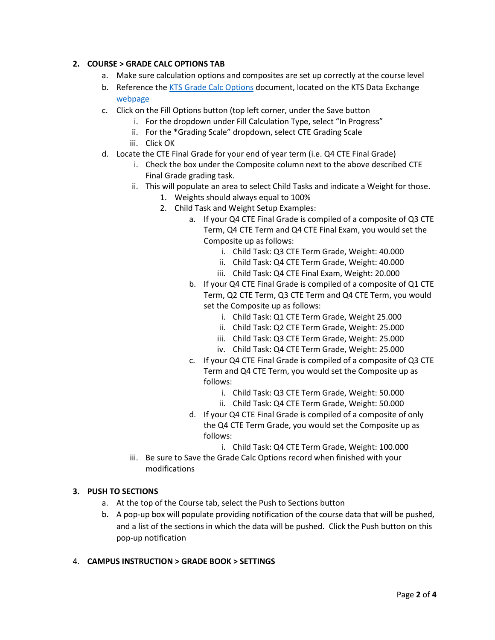### **2. COURSE > GRADE CALC OPTIONS TAB**

- a. Make sure calculation options and composites are set up correctly at the course level
- b. Reference the [KTS Grade Calc Options](https://education.ky.gov/districts/tech/sis/Documents/KTS_Grade_Calc_Options_Setup.pdf) document, located on the KTS Data Exchange [webpage](https://education.ky.gov/districts/tech/sis/Pages/KSIS-KTS-Data-Exchange.aspx)
- c. Click on the Fill Options button (top left corner, under the Save button
	- i. For the dropdown under Fill Calculation Type, select "In Progress"
	- ii. For the \*Grading Scale" dropdown, select CTE Grading Scale
	- iii. Click OK
- d. Locate the CTE Final Grade for your end of year term (i.e. Q4 CTE Final Grade)
	- i. Check the box under the Composite column next to the above described CTE Final Grade grading task.
	- ii. This will populate an area to select Child Tasks and indicate a Weight for those.
		- 1. Weights should always equal to 100%
		- 2. Child Task and Weight Setup Examples:
			- a. If your Q4 CTE Final Grade is compiled of a composite of Q3 CTE Term, Q4 CTE Term and Q4 CTE Final Exam, you would set the Composite up as follows:
				- i. Child Task: Q3 CTE Term Grade, Weight: 40.000
				- ii. Child Task: Q4 CTE Term Grade, Weight: 40.000
				- iii. Child Task: Q4 CTE Final Exam, Weight: 20.000
			- b. If your Q4 CTE Final Grade is compiled of a composite of Q1 CTE Term, Q2 CTE Term, Q3 CTE Term and Q4 CTE Term, you would set the Composite up as follows:
				- i. Child Task: Q1 CTE Term Grade, Weight 25.000
				- ii. Child Task: Q2 CTE Term Grade, Weight: 25.000
				- iii. Child Task: Q3 CTE Term Grade, Weight: 25.000
				- iv. Child Task: Q4 CTE Term Grade, Weight: 25.000
			- c. If your Q4 CTE Final Grade is compiled of a composite of Q3 CTE Term and Q4 CTE Term, you would set the Composite up as follows:
				- i. Child Task: Q3 CTE Term Grade, Weight: 50.000
				- ii. Child Task: Q4 CTE Term Grade, Weight: 50.000
			- d. If your Q4 CTE Final Grade is compiled of a composite of only the Q4 CTE Term Grade, you would set the Composite up as follows:
				- i. Child Task: Q4 CTE Term Grade, Weight: 100.000
	- iii. Be sure to Save the Grade Calc Options record when finished with your modifications

#### **3. PUSH TO SECTIONS**

- a. At the top of the Course tab, select the Push to Sections button
- b. A pop-up box will populate providing notification of the course data that will be pushed, and a list of the sections in which the data will be pushed. Click the Push button on this pop-up notification

#### 4. **CAMPUS INSTRUCTION > GRADE BOOK > SETTINGS**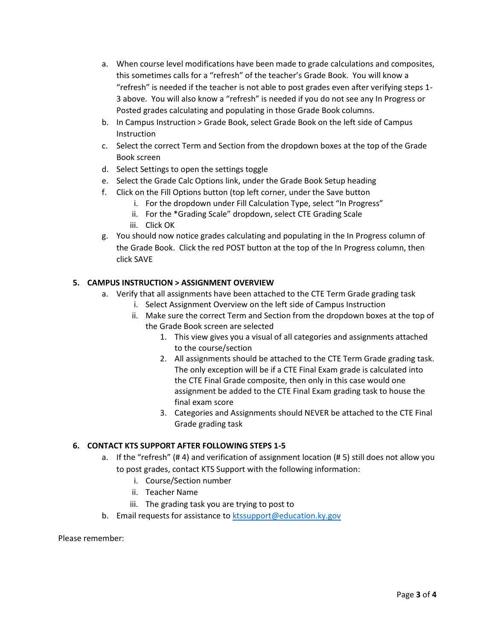- a. When course level modifications have been made to grade calculations and composites, this sometimes calls for a "refresh" of the teacher's Grade Book. You will know a "refresh" is needed if the teacher is not able to post grades even after verifying steps 1- 3 above. You will also know a "refresh" is needed if you do not see any In Progress or Posted grades calculating and populating in those Grade Book columns.
- b. In Campus Instruction > Grade Book, select Grade Book on the left side of Campus Instruction
- c. Select the correct Term and Section from the dropdown boxes at the top of the Grade Book screen
- d. Select Settings to open the settings toggle
- e. Select the Grade Calc Options link, under the Grade Book Setup heading
- f. Click on the Fill Options button (top left corner, under the Save button
	- i. For the dropdown under Fill Calculation Type, select "In Progress"
	- ii. For the \*Grading Scale" dropdown, select CTE Grading Scale
	- iii. Click OK
- g. You should now notice grades calculating and populating in the In Progress column of the Grade Book. Click the red POST button at the top of the In Progress column, then click SAVE

### **5. CAMPUS INSTRUCTION > ASSIGNMENT OVERVIEW**

- a. Verify that all assignments have been attached to the CTE Term Grade grading task
	- i. Select Assignment Overview on the left side of Campus Instruction
	- ii. Make sure the correct Term and Section from the dropdown boxes at the top of the Grade Book screen are selected
		- 1. This view gives you a visual of all categories and assignments attached to the course/section
		- 2. All assignments should be attached to the CTE Term Grade grading task. The only exception will be if a CTE Final Exam grade is calculated into the CTE Final Grade composite, then only in this case would one assignment be added to the CTE Final Exam grading task to house the final exam score
		- 3. Categories and Assignments should NEVER be attached to the CTE Final Grade grading task

# **6. CONTACT KTS SUPPORT AFTER FOLLOWING STEPS 1-5**

- a. If the "refresh" (# 4) and verification of assignment location (# 5) still does not allow you to post grades, contact KTS Support with the following information:
	- i. Course/Section number
	- ii. Teacher Name
	- iii. The grading task you are trying to post to
- b. Email requests for assistance t[o ktssupport@education.ky.gov](mailto:tanya.fluke@education.ky.gov)

Please remember: